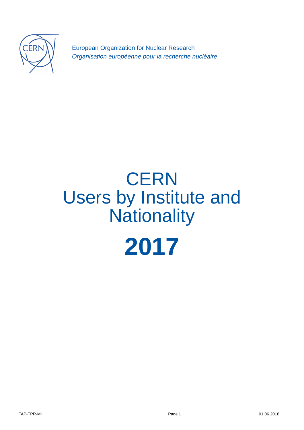

European Organization for Nuclear Research Organisation européenne pour la recherche nucléaire

# **CERN** Users by Institute and **Nationality 2017**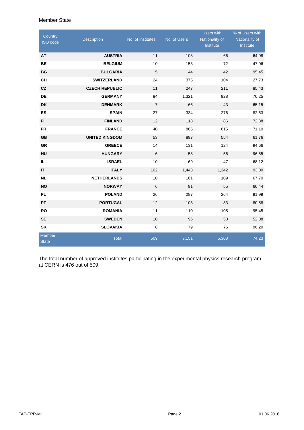#### Member State

| Country<br><b>ISO</b> code | <b>Description</b>    | No. of Institutes | No. of Users | <b>Users with</b><br>Nationality of<br>Institute | % of Users with<br>Nationality of<br>Institute |
|----------------------------|-----------------------|-------------------|--------------|--------------------------------------------------|------------------------------------------------|
| AT                         | <b>AUSTRIA</b>        | 11                | 103          | 66                                               | 64.08                                          |
| <b>BE</b>                  | <b>BELGIUM</b>        | 10                | 153          | 72                                               | 47.06                                          |
| <b>BG</b>                  | <b>BULGARIA</b>       | $\mathbf 5$       | 44           | 42                                               | 95.45                                          |
| <b>CH</b>                  | <b>SWITZERLAND</b>    | 24                | 375          | 104                                              | 27.73                                          |
| CZ                         | <b>CZECH REPUBLIC</b> | 11                | 247          | 211                                              | 85.43                                          |
| <b>DE</b>                  | <b>GERMANY</b>        | 94                | 1,321        | 928                                              | 70.25                                          |
| DK                         | <b>DENMARK</b>        | $\overline{7}$    | 66           | 43                                               | 65.15                                          |
| <b>ES</b>                  | <b>SPAIN</b>          | 27                | 334          | 276                                              | 82.63                                          |
| F1                         | <b>FINLAND</b>        | 12                | 118          | 86                                               | 72.88                                          |
| <b>FR</b>                  | <b>FRANCE</b>         | 40                | 865          | 615                                              | 71.10                                          |
| <b>GB</b>                  | <b>UNITED KINGDOM</b> | 53                | 897          | 554                                              | 61.76                                          |
| <b>GR</b>                  | <b>GREECE</b>         | 14                | 131          | 124                                              | 94.66                                          |
| HU                         | <b>HUNGARY</b>        | 6                 | 58           | 56                                               | 96.55                                          |
| IL.                        | <b>ISRAEL</b>         | 10                | 69           | 47                                               | 68.12                                          |
| <b>IT</b>                  | <b>ITALY</b>          | 102               | 1,443        | 1,342                                            | 93.00                                          |
| <b>NL</b>                  | <b>NETHERLANDS</b>    | 10                | 161          | 109                                              | 67.70                                          |
| <b>NO</b>                  | <b>NORWAY</b>         | $\,6\,$           | 91           | 55                                               | 60.44                                          |
| <b>PL</b>                  | <b>POLAND</b>         | 26                | 287          | 264                                              | 91.99                                          |
| PT                         | <b>PORTUGAL</b>       | 12                | 103          | 83                                               | 80.58                                          |
| <b>RO</b>                  | <b>ROMANIA</b>        | 11                | 110          | 105                                              | 95.45                                          |
| <b>SE</b>                  | <b>SWEDEN</b>         | 10                | 96           | 50                                               | 52.08                                          |
| SK                         | <b>SLOVAKIA</b>       | 8                 | 79           | 76                                               | 96.20                                          |
| Member<br>State            | <b>Total</b>          | 509               | 7,151        | 5,308                                            | 74.23                                          |

The total number of approved institutes participating in the experimental physics research program at CERN is 476 out of 509.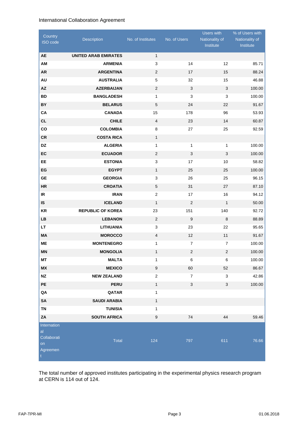## International Collaboration Agreement

| Country<br>ISO code                                      | Description                 | No. of Institutes | No. of Users   | <b>Users with</b><br>Nationality of<br>Institute | % of Users with<br>Nationality of<br>Institute |
|----------------------------------------------------------|-----------------------------|-------------------|----------------|--------------------------------------------------|------------------------------------------------|
| <b>AE</b>                                                | <b>UNITED ARAB EMIRATES</b> | $\mathbf{1}$      |                |                                                  |                                                |
| AM                                                       | <b>ARMENIA</b>              | 3                 | 14             | 12                                               | 85.71                                          |
| <b>AR</b>                                                | <b>ARGENTINA</b>            | 2                 | 17             | 15                                               | 88.24                                          |
| AU                                                       | <b>AUSTRALIA</b>            | 5                 | 32             | 15                                               | 46.88                                          |
| <b>AZ</b>                                                | <b>AZERBAIJAN</b>           | 2                 | 3              | $\sqrt{3}$                                       | 100.00                                         |
| <b>BD</b>                                                | <b>BANGLADESH</b>           | $\mathbf{1}$      | 3              | 3                                                | 100.00                                         |
| BY                                                       | <b>BELARUS</b>              | $\mathbf 5$       | 24             | 22                                               | 91.67                                          |
| CA                                                       | <b>CANADA</b>               | 15                | 178            | 96                                               | 53.93                                          |
| <b>CL</b>                                                | <b>CHILE</b>                | 4                 | 23             | 14                                               | 60.87                                          |
| co                                                       | <b>COLOMBIA</b>             | 8                 | 27             | 25                                               | 92.59                                          |
| <b>CR</b>                                                | <b>COSTA RICA</b>           | $\mathbf{1}$      |                |                                                  |                                                |
| <b>DZ</b>                                                | <b>ALGERIA</b>              | $\mathbf{1}$      | $\mathbf{1}$   | 1                                                | 100.00                                         |
| EC                                                       | <b>ECUADOR</b>              | $\overline{2}$    | 3              | 3                                                | 100.00                                         |
| <b>EE</b>                                                | <b>ESTONIA</b>              | 3                 | 17             | 10                                               | 58.82                                          |
| EG                                                       | <b>EGYPT</b>                | $\mathbf{1}$      | 25             | 25                                               | 100.00                                         |
| <b>GE</b>                                                | <b>GEORGIA</b>              | 3                 | 26             | 25                                               | 96.15                                          |
| <b>HR</b>                                                | <b>CROATIA</b>              | 5                 | 31             | 27                                               | 87.10                                          |
| <b>IR</b>                                                | <b>IRAN</b>                 | 2                 | 17             | 16                                               | 94.12                                          |
| IS                                                       | <b>ICELAND</b>              | $\mathbf{1}$      | $\overline{2}$ | $\mathbf{1}$                                     | 50.00                                          |
| KR                                                       | <b>REPUBLIC OF KOREA</b>    | 23                | 151            | 140                                              | 92.72                                          |
| <b>LB</b>                                                | <b>LEBANON</b>              | $\overline{2}$    | 9              | 8                                                | 88.89                                          |
| <b>LT</b>                                                | <b>LITHUANIA</b>            | $\mathbf{3}$      | 23             | 22                                               | 95.65                                          |
| <b>MA</b>                                                | <b>MOROCCO</b>              | $\overline{4}$    | 12             | 11                                               | 91.67                                          |
| <b>ME</b>                                                | <b>MONTENEGRO</b>           | $\mathbf{1}$      | $\overline{7}$ | $\overline{7}$                                   | 100.00                                         |
| <b>MN</b>                                                | <b>MONGOLIA</b>             | $\mathbf{1}$      | $\sqrt{2}$     | $\overline{c}$                                   | 100.00                                         |
| МT                                                       | <b>MALTA</b>                | 1                 | 6              | 6                                                | 100.00                                         |
| ${\sf M}{\sf X}$                                         | <b>MEXICO</b>               | $\boldsymbol{9}$  | 60             | 52                                               | 86.67                                          |
| $\sf{NZ}$                                                | <b>NEW ZEALAND</b>          | $\overline{c}$    | $\overline{7}$ | 3                                                | 42.86                                          |
| PE                                                       | <b>PERU</b>                 | $\mathbf{1}$      | 3              | 3                                                | 100.00                                         |
| QA                                                       | QATAR                       | $\mathbf{1}$      |                |                                                  |                                                |
| SA                                                       | <b>SAUDI ARABIA</b>         | $\mathbf{1}$      |                |                                                  |                                                |
| TN                                                       | <b>TUNISIA</b>              | $\mathbf{1}$      |                |                                                  |                                                |
| ZA                                                       | <b>SOUTH AFRICA</b>         | 9                 | 74             | 44                                               | 59.46                                          |
| Internation<br>al<br>Collaborati<br>on<br>Agreemen<br>t. | Total                       | 124               | 797            | 611                                              | 76.66                                          |

The total number of approved institutes participating in the experimental physics research program at CERN is 114 out of 124.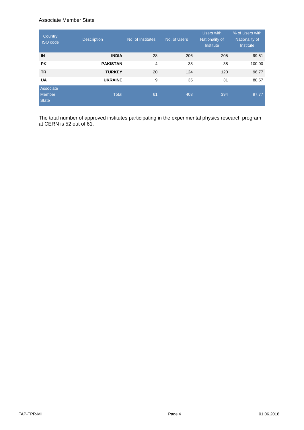#### Associate Member State

| Country<br><b>ISO</b> code          | <b>Description</b> | No. of Institutes | No. of Users | Users with<br>Nationality of<br>Institute | % of Users with<br>Nationality of<br>Institute |
|-------------------------------------|--------------------|-------------------|--------------|-------------------------------------------|------------------------------------------------|
| IN                                  | <b>INDIA</b>       | 28                | 206          | 205                                       | 99.51                                          |
| <b>PK</b>                           | <b>PAKISTAN</b>    | $\overline{4}$    | 38           | 38                                        | 100.00                                         |
| <b>TR</b>                           | <b>TURKEY</b>      | 20                | 124          | 120                                       | 96.77                                          |
| <b>UA</b>                           | <b>UKRAINE</b>     | 9                 | 35           | 31                                        | 88.57                                          |
| Associate<br><b>Member</b><br>State | <b>Total</b>       | 61                | 403          | 394                                       | 97.77                                          |

The total number of approved institutes participating in the experimental physics research program at CERN is 52 out of 61.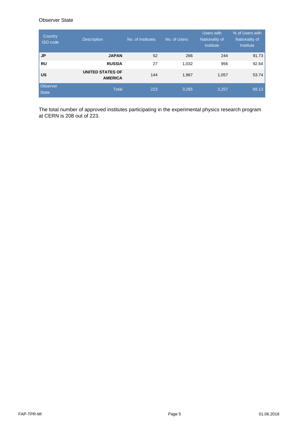# Observer State

| Country<br><b>ISO</b> code | <b>Description</b>                        | No. of Institutes | No. of Users | Users with<br>Nationality of<br>Institute | % of Users with<br>Nationality of<br>Institute |
|----------------------------|-------------------------------------------|-------------------|--------------|-------------------------------------------|------------------------------------------------|
| <b>JP</b>                  | <b>JAPAN</b>                              | 52                | 266          | 244                                       | 91.73                                          |
| <b>RU</b>                  | <b>RUSSIA</b>                             | 27                | 1,032        | 956                                       | 92.64                                          |
| <b>US</b>                  | <b>UNITED STATES OF</b><br><b>AMERICA</b> | 144               | 1,967        | 1,057                                     | 53.74                                          |
| Observer<br><b>State</b>   | <b>Total</b>                              | 223               | 3,265        | 2,257                                     | 69.13                                          |

The total number of approved institutes participating in the experimental physics research program at CERN is 208 out of 223.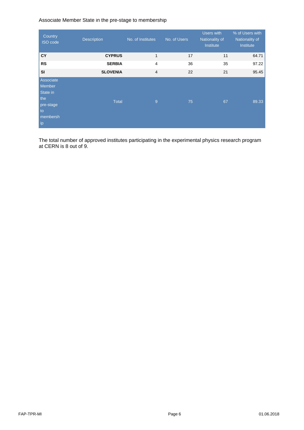## Associate Member State in the pre-stage to membership

| Country<br><b>ISO</b> code                                                  | <b>Description</b> | No. of Institutes | No. of Users | Users with<br>Nationality of<br>Institute | % of Users with<br>Nationality of<br>Institute |
|-----------------------------------------------------------------------------|--------------------|-------------------|--------------|-------------------------------------------|------------------------------------------------|
| <b>CY</b>                                                                   | <b>CYPRUS</b>      | $\mathbf{1}$      | 17           | 11                                        | 64.71                                          |
| <b>RS</b>                                                                   | <b>SERBIA</b>      | $\overline{4}$    | 36           | 35                                        | 97.22                                          |
| <b>SI</b>                                                                   | <b>SLOVENIA</b>    | $\overline{4}$    | 22           | 21                                        | 95.45                                          |
| Associate<br>Member<br>State in<br>the<br>pre-stage<br>to<br>membersh<br>ip | <b>Total</b>       | $\overline{9}$    | 75           | 67                                        | 89.33                                          |

The total number of approved institutes participating in the experimental physics research program at CERN is 8 out of 9.